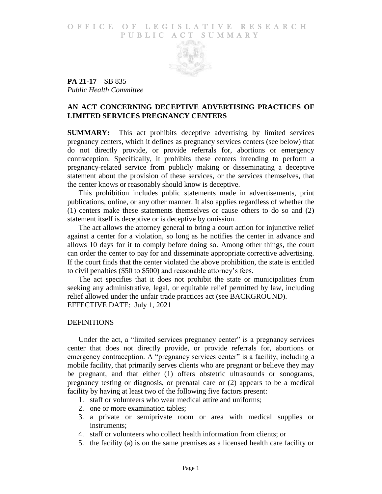### O F FICE OF LEGISLATIVE RESEARCH PUBLIC ACT SUMMARY



**PA 21-17**—SB 835 *Public Health Committee*

# **AN ACT CONCERNING DECEPTIVE ADVERTISING PRACTICES OF LIMITED SERVICES PREGNANCY CENTERS**

**SUMMARY:** This act prohibits deceptive advertising by limited services pregnancy centers, which it defines as pregnancy services centers (see below) that do not directly provide, or provide referrals for, abortions or emergency contraception. Specifically, it prohibits these centers intending to perform a pregnancy-related service from publicly making or disseminating a deceptive statement about the provision of these services, or the services themselves, that the center knows or reasonably should know is deceptive.

This prohibition includes public statements made in advertisements, print publications, online, or any other manner. It also applies regardless of whether the (1) centers make these statements themselves or cause others to do so and (2) statement itself is deceptive or is deceptive by omission.

The act allows the attorney general to bring a court action for injunctive relief against a center for a violation, so long as he notifies the center in advance and allows 10 days for it to comply before doing so. Among other things, the court can order the center to pay for and disseminate appropriate corrective advertising. If the court finds that the center violated the above prohibition, the state is entitled to civil penalties (\$50 to \$500) and reasonable attorney's fees.

The act specifies that it does not prohibit the state or municipalities from seeking any administrative, legal, or equitable relief permitted by law, including relief allowed under the unfair trade practices act (see BACKGROUND). EFFECTIVE DATE: July 1, 2021

#### DEFINITIONS

Under the act, a "limited services pregnancy center" is a pregnancy services center that does not directly provide, or provide referrals for, abortions or emergency contraception. A "pregnancy services center" is a facility, including a mobile facility, that primarily serves clients who are pregnant or believe they may be pregnant, and that either (1) offers obstetric ultrasounds or sonograms, pregnancy testing or diagnosis, or prenatal care or (2) appears to be a medical facility by having at least two of the following five factors present:

- 1. staff or volunteers who wear medical attire and uniforms;
- 2. one or more examination tables;
- 3. a private or semiprivate room or area with medical supplies or instruments;
- 4. staff or volunteers who collect health information from clients; or
- 5. the facility (a) is on the same premises as a licensed health care facility or